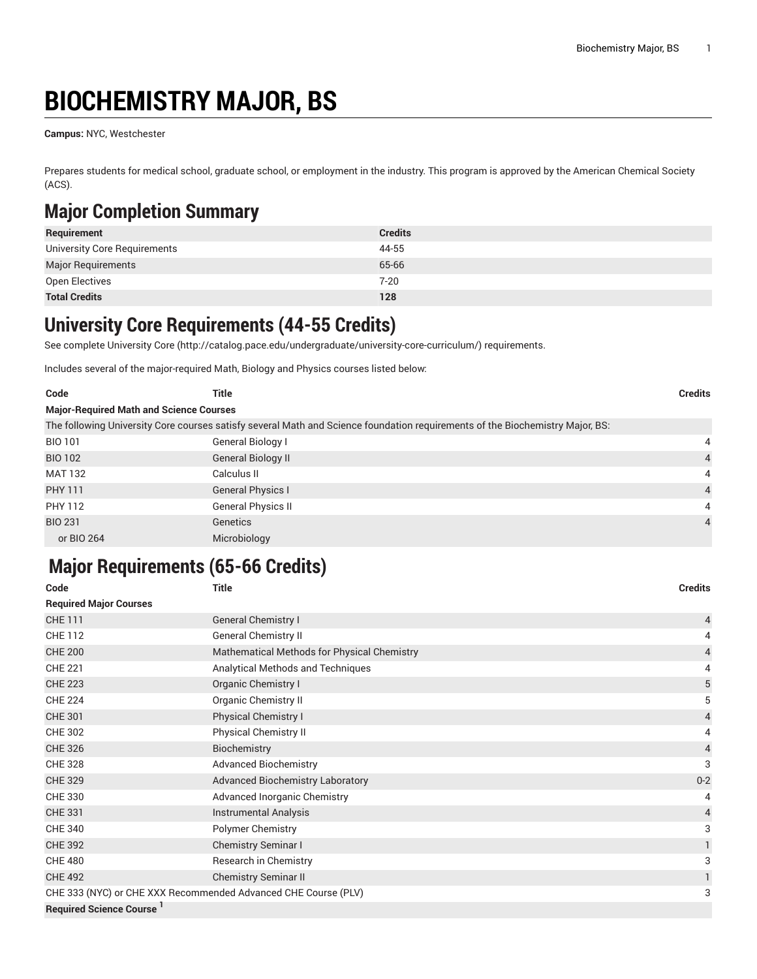# **BIOCHEMISTRY MAJOR, BS**

**Campus:** NYC, Westchester

Prepares students for medical school, graduate school, or employment in the industry. This program is approved by the American Chemical Society (ACS).

#### **Major Completion Summary**

| Requirement                  | <b>Credits</b> |
|------------------------------|----------------|
| University Core Requirements | 44-55          |
| <b>Major Requirements</b>    | 65-66          |
| Open Electives               | $7 - 20$       |
| <b>Total Credits</b>         | 128            |

#### **University Core Requirements (44-55 Credits)**

See complete [University](http://catalog.pace.edu/undergraduate/university-core-curriculum/) Core (<http://catalog.pace.edu/undergraduate/university-core-curriculum/>) requirements.

Includes several of the major-required Math, Biology and Physics courses listed below:

| Code                                           | Title                                                                                                                         | <b>Credits</b> |
|------------------------------------------------|-------------------------------------------------------------------------------------------------------------------------------|----------------|
| <b>Major-Required Math and Science Courses</b> |                                                                                                                               |                |
|                                                | The following University Core courses satisfy several Math and Science foundation requirements of the Biochemistry Major, BS: |                |
| <b>BIO 101</b>                                 | General Biology I                                                                                                             | 4              |
| <b>BIO 102</b>                                 | General Biology II                                                                                                            | $\overline{4}$ |
| <b>MAT 132</b>                                 | Calculus II                                                                                                                   | $\overline{4}$ |
| <b>PHY 111</b>                                 | <b>General Physics I</b>                                                                                                      | $\overline{4}$ |
| PHY 112                                        | General Physics II                                                                                                            | 4              |
| <b>BIO 231</b>                                 | Genetics                                                                                                                      | $\overline{4}$ |
| or BIO 264                                     | Microbiology                                                                                                                  |                |

### **Major Requirements (65-66 Credits)**

**Code Title Credits Required Major Courses** CHE 111 General Chemistry I and the control of the control of the control of the control of the control of the control of the control of the control of the control of the control of the control of the control of the contro CHE 112 General Chemistry II 4 CHE 200 Mathematical Methods for Physical Chemistry 4 CHE 221 **Analytical Methods and Techniques** 4 **Analytical Methods and Techniques** 4 CHE 223 **Organic Chemistry I** Server Chemistry I Server Chemistry I Server Chemistry I Server Chemistry I Server Chemistry I Server Chemistry I Server Chemistry I Server Chemistry I Server Chemistry I Server Chemistry I Se CHE 224 **CHE 224** Organic Chemistry II **5** CHE 301 Physical Chemistry I 4 CHE 302 Physical Chemistry II 4 CHE 326 Biochemistry 4 CHE 328 **CHE 328** Advanced Biochemistry 3 CHE 329 **CHE 329 CHE 329 Advanced Biochemistry Laboratory CHE 329 CHE 329 CHE 329 CHE 329 CHE 329 CHE 329 CHE 329 CHE 329 CHE 329 CHE 329 CHE 329 CHE 329 CHE 329 CHE 329 CHE 329 CHE 329** CHE 330 **Advanced Inorganic Chemistry 4** Advanced Inorganic Chemistry **4** Advanced Inorganic Chemistry **4** CHE 331 Instrumental Analysis 4 CHE 340 **Polymer Chemistry** 3 CHE 392 Chemistry Seminar I 1 CHE 480 **Research in Chemistry** 3 CHE 492 Chemistry Seminar II 1 CHE 333 (NYC) or CHE XXX Recommended Advanced CHE Course (PLV) 3 **Required Science Course <sup>1</sup>**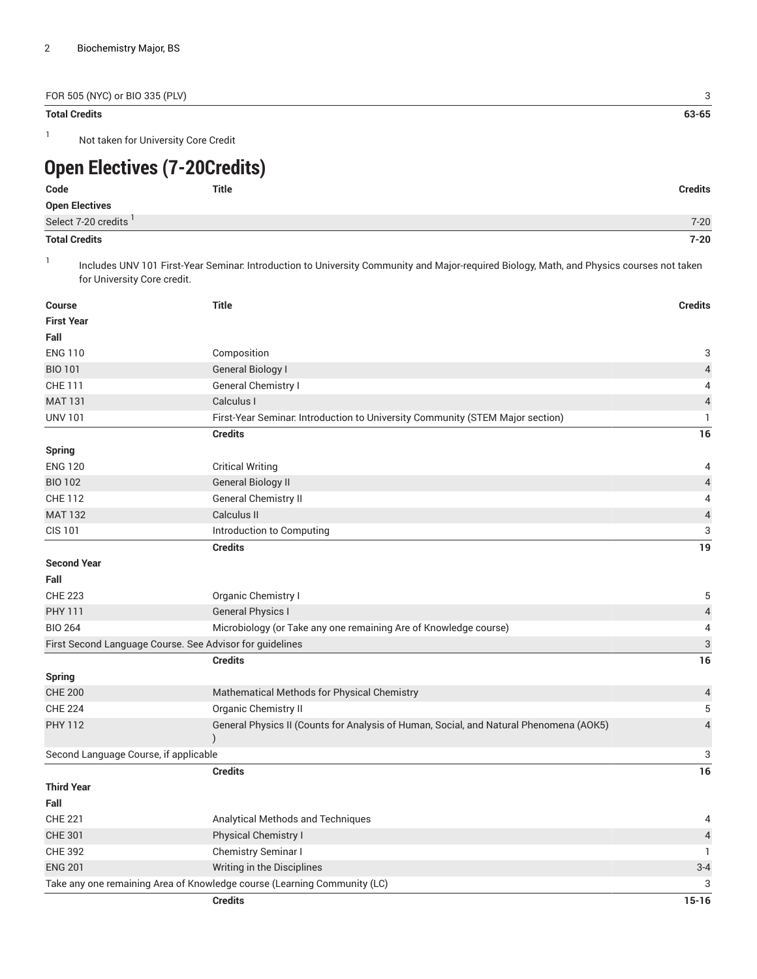FOR 505 (NYC) or BIO 335 (PLV) 3

#### **Total Credits 63-65**

1

Not taken for University Core Credit

## **Open Electives (7-20Credits)**

| Code                  | Title | <b>Credits</b> |
|-----------------------|-------|----------------|
| <b>Open Electives</b> |       |                |
| Select 7-20 credits   |       | $7 - 20$       |
| <b>Total Credits</b>  |       | 7-20           |

1 Includes UNV 101 First-Year Seminar: Introduction to University Community and Major-required Biology, Math, and Physics courses not taken for University Core credit.

| <b>Course</b>                                            | <b>Title</b>                                                                           | <b>Credits</b>           |
|----------------------------------------------------------|----------------------------------------------------------------------------------------|--------------------------|
| <b>First Year</b>                                        |                                                                                        |                          |
| Fall                                                     |                                                                                        |                          |
| <b>ENG 110</b>                                           | Composition                                                                            | 3                        |
| <b>BIO 101</b>                                           | <b>General Biology I</b>                                                               | $\overline{\mathcal{A}}$ |
| CHE 111                                                  | General Chemistry I                                                                    | 4                        |
| <b>MAT 131</b>                                           | Calculus I                                                                             | $\overline{\mathcal{L}}$ |
| <b>UNV 101</b>                                           | First-Year Seminar. Introduction to University Community (STEM Major section)          | $\mathbf{1}$             |
|                                                          | <b>Credits</b>                                                                         | 16                       |
| <b>Spring</b>                                            |                                                                                        |                          |
| <b>ENG 120</b>                                           | <b>Critical Writing</b>                                                                | 4                        |
| <b>BIO 102</b>                                           | <b>General Biology II</b>                                                              | $\overline{\mathcal{L}}$ |
| <b>CHE 112</b>                                           | <b>General Chemistry II</b>                                                            | 4                        |
| <b>MAT 132</b>                                           | Calculus II                                                                            | $\overline{\mathcal{L}}$ |
| <b>CIS 101</b>                                           | Introduction to Computing                                                              | 3                        |
|                                                          | <b>Credits</b>                                                                         | 19                       |
| <b>Second Year</b>                                       |                                                                                        |                          |
| Fall                                                     |                                                                                        |                          |
| <b>CHE 223</b>                                           | Organic Chemistry I                                                                    | 5                        |
| <b>PHY 111</b>                                           | <b>General Physics I</b>                                                               | $\sqrt{4}$               |
| <b>BIO 264</b>                                           | Microbiology (or Take any one remaining Are of Knowledge course)                       | 4                        |
| First Second Language Course. See Advisor for guidelines |                                                                                        | $\sqrt{3}$               |
|                                                          | <b>Credits</b>                                                                         | 16                       |
| <b>Spring</b>                                            |                                                                                        |                          |
| <b>CHE 200</b>                                           | Mathematical Methods for Physical Chemistry                                            | $\overline{\mathcal{L}}$ |
| <b>CHE 224</b>                                           | Organic Chemistry II                                                                   | 5                        |
| <b>PHY 112</b>                                           | General Physics II (Counts for Analysis of Human, Social, and Natural Phenomena (AOK5) | $\overline{4}$           |
| Second Language Course, if applicable                    |                                                                                        | 3                        |
|                                                          | <b>Credits</b>                                                                         | 16                       |
| <b>Third Year</b>                                        |                                                                                        |                          |
| Fall                                                     |                                                                                        |                          |
| <b>CHE 221</b>                                           | Analytical Methods and Techniques                                                      | 4                        |
| <b>CHE 301</b>                                           | Physical Chemistry I                                                                   | $\overline{\mathcal{L}}$ |
| <b>CHE 392</b>                                           | Chemistry Seminar I                                                                    | $\mathbf{1}$             |
| <b>ENG 201</b>                                           | Writing in the Disciplines                                                             | $3 - 4$                  |
|                                                          | Take any one remaining Area of Knowledge course (Learning Community (LC)               | 3                        |
|                                                          | <b>Credits</b>                                                                         | $15 - 16$                |